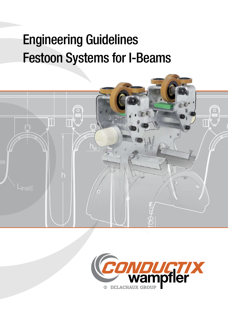# Engineering Guidelines Festoon Systems for I-Beams



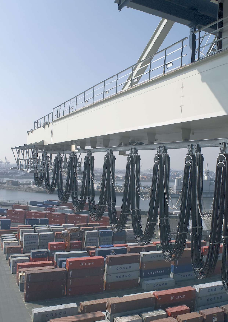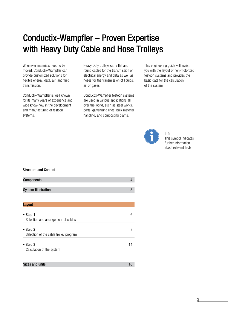### Conductix-Wampfler – Proven Expertise with Heavy Duty Cable and Hose Trolleys

Whenever materials need to be moved, Conductix-Wampfler can provide customized solutions for flexible energy, data, air, and fluid transmission.

Conductix-Wampfler is well known for its many years of experience and wide know-how in the development and manufacturing of festoon systems.

Heavy Duty trolleys carry flat and round cables for the transmission of electrical energy and data as well as hoses for the transmission of liquids, air or gases.

Conductix-Wampfler festoon systems are used in various applications all over the world, such as steel works, ports, galvanizing lines, bulk material handling, and composting plants.

This engineering guide will assist you with the layout of non-motorized festoon systems and provides the basic data for the calculation of the system.



16

Info This symbol indicates further Information about relevant facts.

#### Structure and Content

| <b>Components</b>                                          | 4  |
|------------------------------------------------------------|----|
| <b>System illustration</b>                                 | 5  |
|                                                            |    |
| Layout                                                     |    |
| $\bullet$ Step 1<br>Selection and arrangement of cables    | 6  |
| $\bullet$ Step 2<br>Selection of the cable trolley program | 8  |
| $\bullet$ Step 3<br>Calculation of the system              | 14 |
|                                                            |    |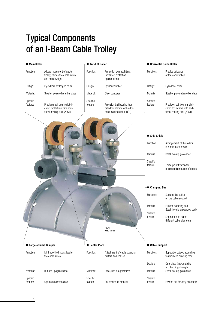### Typical Components of an I-Beam Cable Trolley

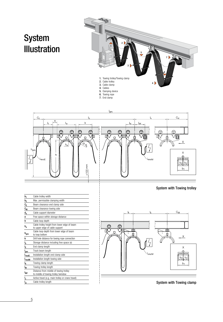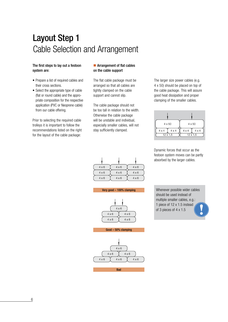## Layout Step 1 Cable Selection and Arrangement

#### The first steps to lay out a festoon system are:

- Prepare a list of required cables and their cross sections.
- Select the appropriate type of cable (flat or round cable) and the appropriate composition for the respective application (PVC or Neoprene cable) from our cable offering.

Prior to selecting the required cable trolleys it is important to follow the recommendations listed on the right for the layout of the cable package:

#### $\blacksquare$  Arrangement of flat cables on the cable support

The flat cable package must be arranged so that all cables are tightly clamped on the cable support and cannot slip.

The cable package should not be too tall in relation to the width. Otherwise the cable package will be unstable and individual. especially smaller cables, will not stay sufficiently clamped.

The larger size power cables (e.g. 4 x 50) should be placed on top of the cable package. This will assure good heat dissipation and proper clamping of the smaller cables.



Dynamic forces that occur as the festoon system moves can be partly absorbed by the larger cables.









Good – 50% clamping



6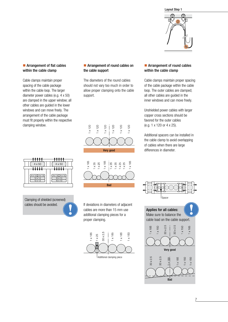

#### $\blacksquare$  Arrangement of flat cables within the cable clamp

Cable clamps maintain proper spacing of the cable package within the cable loop. The larger diameter power cables (e.g. 4 x 50) are clamped in the upper window; all other cables are guided in the lower windows and can move freely. The arrangement of the cable package must fit properly within the respective clamping window.

#### $4 \times 50$  $4\times50$ \*\*\*\*\* \*\*\*\*\*  $4 \times 15$   $4 \times 15$  $4 \times 15$  <br> <br> 4 x 15

Clamping of shielded (screened) cables should be avoided.

#### **n** Arrangement of round cables on the cable support

The diameters of the round cables should not vary too much in order to allow proper clamping onto the cable support.





If deviations in diameters of adjacent cables are more than 15 mm use additional clamping pieces for a proper clamping.



Additional clamping piece

#### SpacerApplies for all cables: Make sure to balance the cable load on the cable support. 25 185 SO  $30 \times 2.5$ SO 185  $\frac{1}{20}$



7

Cable clamps maintain proper spacing

 $\blacksquare$  Arrangement of round cables

within the cable clamp

of the cable package within the cable loop. The outer cables are clamped; all other cables are guided in the inner windows and can move freely.

Unshielded power cables with larger copper cross sections should be favored for the outer cables (e.g. 1 x 120 or 4 x 25).

Additional spacers can be installed in the cable clamp to avoid overlapping of cables when there are large differences in diameter.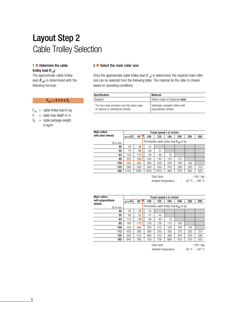## Layout Step 2 Cable Trolley Selection

#### 1  $\blacksquare$  Determine the cable trolley load  $(F_{LW})$

The approximate cable trolley load  $(F_{LW})$  is determined with the following formula:

#### $F_{LW} = 2x$  h x  $G_L$

- $F_{LW}$  = cable trolley load in kg
- $h =$  cable loop depth in m
- $G_{\parallel}$  = cable package weight

in kg/m

#### 2  $\blacksquare$  Select the main roller size

Once the approximate cable trolley load  $(F_{LW})$  is determined, the required main roller size can be selected from the following table. The material for the roller is chosen based on operating conditions:

| Specification                                                                      | Material                                                 |
|------------------------------------------------------------------------------------|----------------------------------------------------------|
| Standard                                                                           | Rollers made of hardened steel                           |
| - For low noise emission and low beam wear<br>- In tropical or subtropical climate | Hydrolysis resistant rollers with<br>polyurethane wheels |

| <b>Main rollers</b> |            |                                               |      | Travel speed v in m/min |     |     |     |     |
|---------------------|------------|-----------------------------------------------|------|-------------------------|-----|-----|-----|-----|
| with steel wheels   | up to $63$ | 80                                            | 100  | 125                     | 160 | 200 | 250 | 300 |
| $\emptyset$ in mm   |            | Permissible cable trolley load $F_{1w}$ in kg |      |                         |     |     |     |     |
| 40                  | 40         | 36                                            | 32   |                         |     |     |     |     |
| 50                  | 75         | 68                                            | 60   | 51                      |     |     |     |     |
| 63                  | 125        | 110                                           | 95   | 85                      | 75  |     |     |     |
| 80                  | 220        | 190                                           | 162  | 142                     | 125 | 110 |     |     |
| 100                 | 355        | 305                                           | 265  | 230                     | 200 | 185 | 160 |     |
| 125                 | 590        | 550                                           | 500  | 450                     | 410 | 380 | 350 | 310 |
| 160                 | 1150       | 1090                                          | 1050 | 1015                    | 990 | 970 | 950 | 925 |

Duty Cycle :  $\sim$ 16h / day Ambient temperature : -30 °C ... +80 °C

| <b>Main rollers</b>         |            |     |                                               | Travel speed v in m/min |     |     |     |                  |
|-----------------------------|------------|-----|-----------------------------------------------|-------------------------|-----|-----|-----|------------------|
| with polyurethane           | up to $63$ | 80  | 100                                           | 125                     | 160 | 200 | 250 | 300              |
| wheels<br>$\emptyset$ in mm |            |     | Permissible cable trolley load $F_{1w}$ in kg |                         |     |     |     |                  |
| 40                          | 30         | 28  | 25                                            |                         |     |     |     |                  |
| 50                          | 60         | 53  | 47                                            | 42                      |     |     |     |                  |
| 63                          | 110        | 98  | 90                                            | 80                      | 70  |     |     |                  |
| 80                          | 195        | 170 | 155                                           | 135                     | 115 | 100 |     |                  |
| 100                         | 325        | 280 | 250                                           | 215                     | 185 | 165 | 140 |                  |
| 112                         | 430        | 395 | 360                                           | 330                     | 305 | 275 | 250 | 210              |
| 125                         | 540        | 515 | 460                                           | 410                     | 380 | 350 | 320 | 290              |
| 160                         | 840        | 795 | 750                                           | 705                     | 660 | 615 | 570 | 505              |
|                             |            |     |                                               | Duty Cycle              |     |     |     | $\sim$ 16h / dav |

Ambient temperature : -30 °C ... +50 °C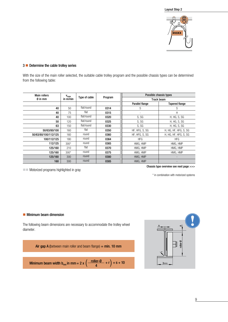

#### 3 **■** Determine the cable trolley series

With the size of the main roller selected, the suitable cable trolley program and the possible chassis types can be determined from the following table:

| <b>Main rollers</b>  | $v_{\text{max}}$ |               |         |                 | Possible chassis types |
|----------------------|------------------|---------------|---------|-----------------|------------------------|
| $\emptyset$ in mm    | in $m/min$       | Type of cable | Program |                 | <b>Track beam</b>      |
|                      |                  |               |         | Parallel flange | <b>Tapered flange</b>  |
| 40                   | 50               | flat/round    | 0314    | S               | S                      |
| 40                   | 75               | flat          | 0315    |                 | Н                      |
| 40                   | 100              | flat/round    | 0320    | S, SG           | H, HG, S, SG           |
| 50                   | 120              | flat/round    | 0325    | S, SG           | H, HG, S, SG           |
| 63                   | 150              | flat/round    | 0330    | S. SG           | H, HG, S, SG           |
| 50/63/80/100         | 160              | flat          | 0350    | HF, HFG, S, SG  | H, HG, HF, HFG, S, SG  |
| 50/63/80/100/112/125 | 160              | round         | 0360    | HF, HFG, S, SG  | H, HG, HF, HFG, S, SG  |
| 100/112/125          | 180              | round         | 0364    | <b>HFG</b>      | HFG                    |
| 112/125              | $300*$           | round         | 0365    | HMG, HMP        | HMG, HMP               |
| 125/160              | 210              | flat          | 0370    | HMG, HMP        | HMG, HMP               |
| 125/160              | $300*$           | round         | 0375    | HMG, HMP        | HMG, HMP               |
| 125/160              | 300              | round         | 0380    | HMG, HMP        |                        |
| 160                  | 300              | round         | 0385    | HMG. HMP        |                        |

 $\blacksquare$  Motorized programs highlighted in gray

Chassis type overview see next page >>>

\* in combination with motorized systems

#### $\blacksquare$  Minimum beam dimension

The following beam dimensions are necessary to accommodate the trolley wheel diameter.

Air gap A (between main roller and beam flange) = min. 10 mm

Minimum beam width b<sub>min</sub> in mm = 2 x 
$$
\left(\frac{\text{roller-0}}{4} + r\right) + s + 10
$$

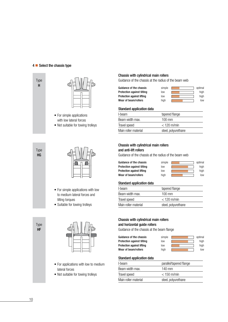#### 4 Select the chassis type



#### Chassis with cylindrical main rollers

Guidance of the chassis at the radius of the beam web

| Guidance of the chassis           | simple | optima |
|-----------------------------------|--------|--------|
| <b>Protection against tilting</b> | low    | high   |
| <b>Protection against lifting</b> | low    | high   |
| Wear of beam/rollers              | high   | low    |

#### Standard application data

| l-beam               | tapered flange      |  |
|----------------------|---------------------|--|
| Beam width max.      | $100 \text{ mm}$    |  |
| Travel speed         | $<$ 120 m/min       |  |
| Main roller material | steel, polyurethane |  |

#### Chassis with cylindrical main rollers and anti-lift rollers

Guidance of the chassis at the radius of the beam web

| Guidance of the chassis           | simple | optima |
|-----------------------------------|--------|--------|
| <b>Protection against tilting</b> | low    | high   |
| <b>Protection against lifting</b> | low    | high   |
| Wear of beam/rollers              | hiah   | low    |

#### Standard application data

| l-beam               | tapered flange      |
|----------------------|---------------------|
| Beam width max.      | $100 \text{ mm}$    |
| Travel speed         | $<$ 120 m/min       |
| Main roller material | steel, polyurethane |

#### Chassis with cylindrical main rollers and horizontal guide rollers

Guidance of the chassis at the beam flange

| Guidance of the chassis           | simple | optimal |
|-----------------------------------|--------|---------|
| <b>Protection against tilting</b> | low    | high    |
| <b>Protection against lifting</b> | low    | high    |
| Wear of beam/rollers              | hiah   | low     |

#### Standard application data

| I-beam               | parallel/tapered flange |
|----------------------|-------------------------|
| Beam width max.      | $140 \text{ mm}$        |
| Travel speed         | $<$ 150 m/min           |
| Main roller material | steel, polyurethane     |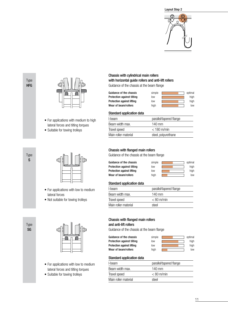



#### Chassis with cylindrical main rollers with horizontal guide rollers and anti-lift rollers

Guidance of the chassis at the beam flange

| Guidance of the chassis<br><b>Protection against tilting</b> | simple<br>low | optimal<br>high |
|--------------------------------------------------------------|---------------|-----------------|
| <b>Protection against lifting</b>                            | low           | high            |
| Wear of beam/rollers                                         | hiah          | low             |

#### Standard application data

| l-beam               | parallel/tapered flange |
|----------------------|-------------------------|
| Beam width max.      | 140 mm                  |
| Travel speed         | $<$ 180 m/min           |
| Main roller material | steel, polyurethane     |

#### Chassis with flanged main rollers

Guidance of the chassis at the beam flange

| Guidance of the chassis           | simple | optimal |
|-----------------------------------|--------|---------|
| <b>Protection against tilting</b> | low    | high    |
| <b>Protection against lifting</b> | low    | high    |
| Wear of beam/rollers              | hiah   | low     |

#### Standard application data

| I-beam               | parallel/tapered flange |
|----------------------|-------------------------|
| Beam width max.      | $140 \text{ mm}$        |
| Travel speed         | $< 80$ m/min            |
| Main roller material | steel                   |

#### Chassis with flanged main rollers and anti-lift rollers

Guidance of the chassis at the beam flange

| Guidance of the chassis           | simple | optimal |
|-----------------------------------|--------|---------|
| <b>Protection against tilting</b> | low    | high    |
| <b>Protection against lifting</b> | low    | high    |
| Wear of beam/rollers              | hiah   | low     |

#### Standard application data

| I-beam               | parallel/tapered flange |
|----------------------|-------------------------|
| Beam width max.      | 140 mm                  |
| Travel speed         | $< 80$ m/min            |
| Main roller material | steel                   |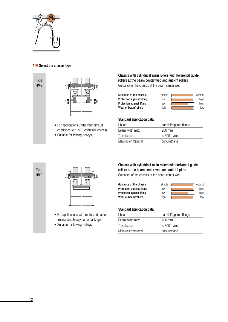

4 Select the chassis type



- conditions (e.g. STS container cranes)
- Suitable for towing trolleys

### Chassis with cylindrical main rollers with horizontal guide rollers at the beam center web and anti-lift rollers

Guidance of the chassis at the beam center web

| Guidance of the chassis           | simple | optimal |
|-----------------------------------|--------|---------|
| <b>Protection against tilting</b> | low    | high    |
| <b>Protection against lifting</b> | low    | high    |
| Wear of beam/rollers              | hiah   | low     |

#### Standard application data

| I-beam               | parallel/tapered flange |
|----------------------|-------------------------|
| Beam width max.      | $200 \text{ mm}$        |
| Travel speed         | $<$ 300 m/min           |
| Main roller material | polyurethane            |

Type HMP



- For applications with motorized cable trolleys and heavy cable packages
- Suitable for towing trolleys

### Chassis with cylindrical main rollers withhorizontal guide rollers at the beam center web and anti-lift plate

Guidance of the chassis at the beam center web

| Guidance of the chassis           | simple | optimal |
|-----------------------------------|--------|---------|
| <b>Protection against tilting</b> | low    | hiah    |
| <b>Protection against lifting</b> | low    | high    |
| Wear of beam/rollers              | hiah   | low     |

#### Standard application data

| I-beam               | parallel/tapered flange |
|----------------------|-------------------------|
| Beam width max.      | $200 \text{ mm}$        |
| Travel speed         | $<$ 300 m/min           |
| Main roller material | polyurethane            |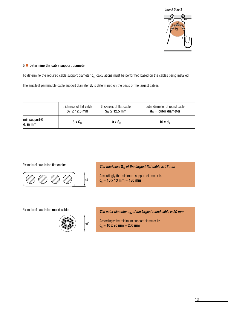

#### 5 Determine the cable support diameter

To determine the required cable support diameter  $d_a$ , calculations must be performed based on the cables being installed.

The smallest permissible cable support diameter  $d_a$  is determined on the basis of the largest cables:

|                             | thickness of flat cable | thickness of flat cable | outer diameter of round cable     |
|-----------------------------|-------------------------|-------------------------|-----------------------------------|
|                             | $S_{\rm H} \le 12.5$ mm | $S_{F1} \ge 12.5$ mm    | $d_{\text{rel}} =$ outer diameter |
| min support-Ø<br>$ds$ in mm | $8 \times SFI$          | 10 x $S_{\text{H}}$     | 10 x $d_{\text{rel}}$             |

Example of calculation flat cable:



The thickness  $S_{FL}$  of the largest flat cable is 13 mm

Accordingly the minimum support diameter is:  $d_a = 10 \times 13$  mm = 130 mm

#### Example of calculation round cable:



#### The outer diameter  $d_{RL}$  of the largest round cable is 20 mm

Accordingly the minimum support diameter is:  $d_a = 10 \times 20$  mm = 200 mm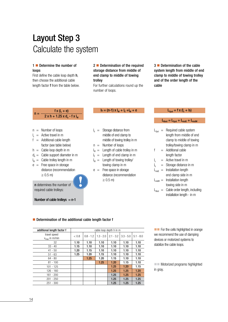## Layout Step 3 Calculate the system

#### 1 Determine the number of loops

First define the cable loop depth **h**, then choose the additional cable length factor f from the table below.

#### 2 Determination of the required storage distance from middle of end clamp to middle of towing trolley

For further calculations round up the number of loops.

3 Determination of the cable system length from middle of end clamp to middle of towing trolley and of the order length of the cable

### $2 \times h + 1.25 \times d_{a} - f \times l_{w}$  $n = \frac{f x (I_s + e)}{}$

- $n =$  Number of loops
- l  $=$  Active travel in m
- $f =$  Additional cable length factor (see table below)
- $h =$  Cable loop depth in m
- $d_a =$  Cable support diameter in m
- l  $I_w =$  Cable trolley length in m
- $e =$  Free space in storage distance (recommendation  $\geq 0.5$  m)

n determines the number of required cable trolleys:

Number of cable trollevs  $= n-1$ 

#### $I_{\text{b}} = (n-1) \times I_{\text{w}} + I_{\text{E}} + I_{\text{M}} + e$

- $I_h$  = Storage distance from middle of end clamp to middle of towing trolley in m
- $n =$  Number of loops

l

l

l

- $I_w =$  Length of cable trolley in m
- $I_F$  = Length of end clamp in m
- l  $I_M =$  Length of towing trolley/ towing clamp in m
- $e =$  Free space in storage distance (recommendation  $\geq 0.5$  m)

### $L<sub>Svst</sub> = f x (I<sub>s</sub> + Ib)$

#### $L_{\text{Rest}} = L_{\text{Syst}} + L_{\text{instr}} + L_{\text{instM}}$

- $L<sub>Syst</sub>$  = Required cable system length from middle of end clamp to middle of towing trolley/towing clamp in m
- $f =$  Additional cable length factor

l

l

- $\vert$ <sub>s</sub> = Active travel in m
- $=$  Storage distance in m
- $L_{\text{instF}} =$  Installation length end clamp side in m
- $L_{instM} =$  Installation length towing side in m
- $L_{\text{Best}}$  = Cable order length, including installation length - in m

#### additional length factor f cable loop depth h in m travel speed travel speed<br>  $v_{\text{max}}$  in m/min  $v_{\text{max}}$  =  $(0.8 - 1.2)$  =  $(1.3 - 2.0)$  =  $(2.1 - 3.2)$  =  $(3.3 - 5.0)$  =  $(5.1 - 8.0)$ <br>  $\frac{32}{2}$  =  $(1.10)$  =  $(1.10)$  =  $(1.10)$  =  $(1.10)$  =  $(1.10)$  =  $(1.10)$ 32 | 1.10 | 1.10 | 1.10 | 1.10 | 1.10 | 1.10 33 - 40 | 1.15 | 1.10 | 1.10 | 1.10 | 1.10 | 1.10 41 - 50 | 1.20 | 1.15 | 1.10 | 1.10 | 1.10 | 1.10  $51 - 63$  | 1.25 | 1.20 | 1.15 | 1.10 | 1.10 | 1.10 64 - 80 1.25 1.20 1.15 1.10 1.10 81 - 100 1.25 1.20 1.15 1.10 101 - 125 | | | | | | | | | 1.25 | 1.20 | 1.15 126 - 160 1.25 1.25 1.20 161 - 200 1.25 1.25 1.25 1.25 201 - 250 | | | | | | | 1.25 | 1.25 | 1.25 251 - 300 1.25 1.25 1.25

 $\blacksquare$  For the cells highlighted in orange we recommend the use of damping devices or motorized systems to stabilize the cable loops.

 $\Box$  Motorized programs highlighted in gray.

#### $\blacksquare$  Determination of the additional cable length factor f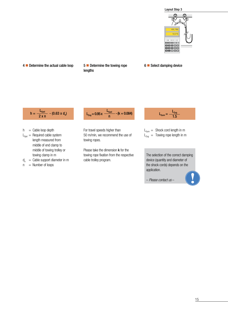



15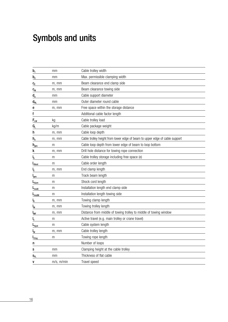## Symbols and units

| b <sub>1</sub>                        | mm         | Cable trolley width                                                         |
|---------------------------------------|------------|-----------------------------------------------------------------------------|
| $\mathsf{b}_2$                        | mm         | Max. permissible clamping width                                             |
| $\mathtt{C_E}$                        | m, mm      | Beam clearance end clamp side                                               |
| $\mathbf{c}_{\underline{\mathsf{M}}}$ | m, mm      | Beam clearance towing side                                                  |
| $\mathsf{d}_{\mathsf{a}}$             | mm         | Cable support diameter                                                      |
| $\mathsf{d}_{\mathsf{RL}}$            | mm         | Outer diameter round cable                                                  |
| e                                     | m, mm      | Free space within the storage distance                                      |
| f                                     |            | Additional cable factor length                                              |
| $F_{LW}$                              | kg         | Cable trolley load                                                          |
| G <sub>L</sub>                        | kg/m       | Cable package weight                                                        |
| h                                     | m, mm      | Cable loop depth                                                            |
| $h_a$                                 | m, mm      | Cable trolley height from lower edge of beam to upper edge of cable support |
| $h_{\underline{\mathrm{ges}}}$        | m          | Cable loop depth from lower edge of beam to loop bottom                     |
| k                                     | m, mm      | Drill hole distance for towing rope connection                              |
| ı,                                    | m          | Cable trolley storage including free space (e)                              |
| $L_{\underline{Best}}$                | m          | Cable order length                                                          |
| I <sub>E</sub>                        | m, mm      | End clamp length                                                            |
| $\mathbf{I}_{\text{ges}}$             | m          | Track beam length                                                           |
| $L_{\text{Gum}}$                      | m          | Shock cord length                                                           |
| $L_{instE}$                           | m          | Installation length end clamp side                                          |
| L <sub>instM</sub>                    | m          | Installation length towing side                                             |
| Ι <sub>κ</sub>                        | m, mm      | Towing clamp length                                                         |
| l <sub>M</sub>                        | m, mm      | Towing trolley length                                                       |
| $I_{MF}$                              | m, mm      | Distance from middle of towing trolley to middle of towing window           |
| l,                                    | m          | Active travel (e.g. main trolley or crane travel)                           |
| $L_{\text{Syst}}$                     | m          | Cable system length                                                         |
| I <sub>w</sub>                        | m, mm      | Cable trolley length                                                        |
| $L_{\text{Zug}}$                      | m          | Towing rope length                                                          |
| n                                     |            | Number of loops                                                             |
| S                                     | mm         | Clamping height at the cable trolley                                        |
| $\mathrm{s}_\text{\tiny{FL}}$         | mm         | Thickness of flat cable                                                     |
| V                                     | m/s, m/min | Travel speed                                                                |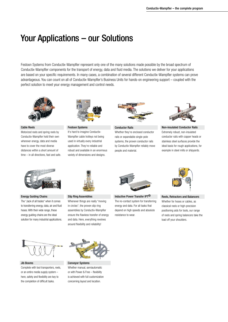### Your Applications – our Solutions

Festoon Systems from Conductix-Wampfler represent only one of the many solutions made possible by the broad spectrum of Conductix-Wampfler components for the transport of energy, data and fluid media. The solutions we deliver for your applications are based on your specific requirements. In many cases, a combination of several different Conductix-Wampfler systems can prove advantageous. You can count on all of Conductix-Wampfler's Business Units for hands-on engineering support – coupled with the perfect solution to meet your energy management and control needs.

![](_page_16_Picture_3.jpeg)

#### Cable Reels

Motorized reels and spring reels by Conductix-Wampfler hold their own wherever energy, data and media have to cover the most diverse distances within a short amount of time – in all directions, fast and safe.

![](_page_16_Picture_6.jpeg)

Festoon Systems

It's hard to imagine Conductix-Wampfler cable trolleys not being used in virtually every industrial application. They're reliable and robust and available in an enormous variety of dimensions and designs.

![](_page_16_Picture_9.jpeg)

Conductor Rails

Whether they're enclosed conductor rails or expandable single-pole systems, the proven conductor rails by Conductix-Wampfler reliably move people and material.

![](_page_16_Picture_12.jpeg)

Non-insulated Conductor Rails

Extremely robust, non-insulated conductor rails with copper heads or stainless steel surfaces provide the ideal basis for rough applications, for example in steel mills or shipyards.

![](_page_16_Picture_15.jpeg)

#### Energy Guiding Chains

The "Jack of all trades" when it comes to transferring energy, data, air and fluid hoses. With their wide range, these energy guiding chains are the ideal solution for many industrial applications.

![](_page_16_Picture_18.jpeg)

#### Slip Ring Assemblies

Whenever things are really "moving in circles", the proven slip ring assemblies by Conductix-Wampfler ensure the flawless transfer of energy and data. Here, everything revolves around flexibility and reliability!

![](_page_16_Figure_21.jpeg)

#### Inductive Power Transfer IPT®

The no-contact system for transferring energy and data. For all tasks that depend on high speeds and absolute resistance to wear.

![](_page_16_Picture_24.jpeg)

#### Reels, Retractors and Balancers Whether for hoses or cables, as classical reels or high-precision positioning aids for tools, our range

of reels and spring balancers take the load off your shoulders.

![](_page_16_Picture_27.jpeg)

Jib Booms

Complete with tool transporters, reels, or an entire media supply system – here, safety and flexibility are key to the completion of difficult tasks.

![](_page_16_Picture_30.jpeg)

#### Conveyor Systems Whether manual, semiautomatic or with Power & Free – flexibility is achieved with full customization concerning layout and location.